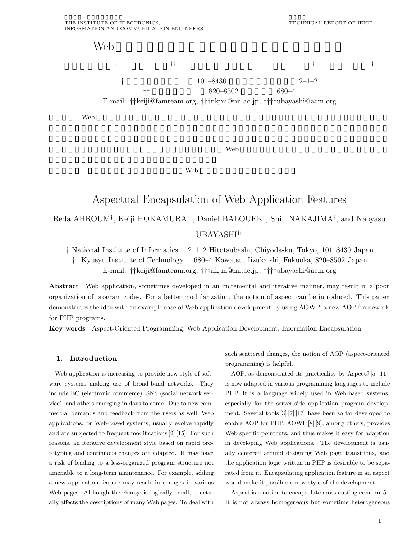

 $\mathbf{Web}$ 

 $\lambda$  Web  $\lambda$ 

# Aspectual Encapsulation of Web Application Features Reda AHROUM*†*, Keiji HOKAMURA*††*, Daniel BALOUEK*†*, Shin NAKAJIMA*†*, and Naoyasu UBAYASHI*††*

*†* National Institute of Informatics 2–1–2 Hitotsubashi, Chiyoda-ku, Tokyo, 101–8430 Japan *††* Kyusyu Institute of Technology 680–4 Kawatsu, Iizuka-shi, Fukuoka, 820–8502 Japan E-mail: *††*keiji@famteam.org, *†††*nkjm@nii.ac.jp, *††††*ubayashi@acm.org

**Abstract** Web application, sometimes developed in an incremental and iterative manner, may result in a poor organization of program codes. For a better modularization, the notion of aspect can be introduced. This paper demonstrates the idea with an example case of Web application development by using AOWP, a new AOP framework for PHP programs.

**Key words** Aspect-Oriented Programming, Web Application Development, Information Encapsulation

## **1. Introduction**

Web application is increasing to provide new style of software systems making use of broad-band networks. They include EC (electronic commerce), SNS (social network service), and others emerging in days to come. Due to new commercial demands and feedback from the users as well, Web applications, or Web-based systems, usually evolve rapidly and are subjected to frequent modifications [2] [15]. For such reasons, an iterative development style based on rapid prototyping and continuous changes are adapted. It may have a risk of leading to a less-organized program structure not amenable to a long-term maintenance. For example, adding a new application feature may result in changes in various Web pages. Although the change is logically small, it actually affects the descriptions of many Web pages. To deal with such scattered changes, the notion of AOP (aspect-oriented programming) is helpful.

AOP, as demonstrated its practicality by AspectJ [5] [11], is now adapted in various programming languages to include PHP. It is a language widely used in Web-based systems, especially for the server-side application program development. Several tools [3] [7] [17] have been so far developed to enable AOP for PHP. AOWP [8] [9], among others, provides Web-specific pointcuts, and thus makes it easy for adaption in developing Web applications. The development is usually centered around designing Web page transitions, and the application logic written in PHP is desirable to be separated from it. Encapsulating application feature in an aspect would make it possible a new style of the development.

Aspect is a notion to encapsulate cross-cutting concern [5]. It is not always homogeneous but sometime heterogeneous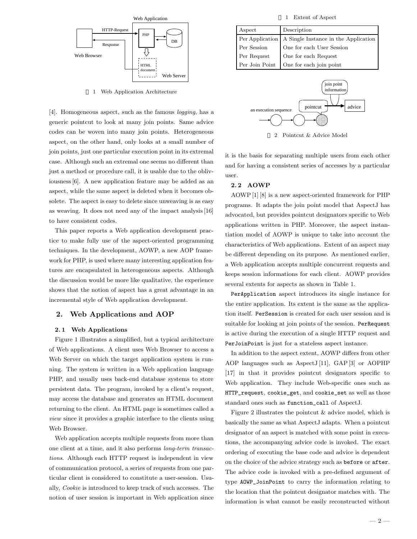

1 Web Application Architecture

[4]. Homogeneous aspect, such as the famous *logging*, has a generic pointcut to look at many join points. Same advice codes can be woven into many join points. Heterogeneous aspect, on the other hand, only looks at a small number of join points, just one particular execution point in its extremal case. Although such an extremal one seems no different than just a method or procedure call, it is usable due to the obliviousness [6]. A new application feature may be added as an aspect, while the same aspect is deleted when it becomes obsolete. The aspect is easy to delete since unweaving is as easy as weaving. It does not need any of the impact analysis [16] to have consistent codes.

This paper reports a Web application development practice to make fully use of the aspect-oriented programming techniques. In the development, AOWP, a new AOP framework for PHP, is used where many interesting application features are encapsulated in heterogeneous aspects. Although the discussion would be more like qualitative, the experience shows that the notion of aspect has a great advantage in an incremental style of Web application development.

# **2. Web Applications and AOP**

#### **2. 1 Web Applications**

Figure 1 illustrates a simplified, but a typical architecture of Web applications. A client uses Web Browser to access a Web Server on which the target application system is running. The system is written in a Web application language PHP, and usually uses back-end database systems to store persistent data. The program, invoked by a client's request, may access the database and generates an HTML document returning to the client. An HTML page is sometimes called a *view* since it provides a graphic interface to the clients using Web Browser.

Web application accepts multiple requests from more than one client at a time, and it also performs *long-term transactions*. Although each HTTP request is independent in view of communication protocol, a series of requests from one particular client is considered to constitute a user-session. Usually, *Cookie* is introduced to keep track of such accesses. The notion of user session is important in Web application since

1 Extent of Aspect

| Aspect         | Description                                            |
|----------------|--------------------------------------------------------|
|                | Per Application   A Single Instance in the Application |
| Per Session    | One for each User Session                              |
| Per Request    | One for each Request                                   |
| Per Join Point | One for each join point                                |



2 Pointcut & Advice Model

it is the basis for separating multiple users from each other and for having a consistent series of accesses by a particular user.

## **2. 2 AOWP**

AOWP [1] [8] is a new aspect-oriented framework for PHP programs. It adapts the join point model that AspectJ has advocated, but provides pointcut designators specific to Web applications written in PHP. Moreover, the aspect instantiation model of AOWP is unique to take into account the characteristics of Web applications. Extent of an aspect may be different depending on its purpose. As mentioned earlier, a Web application accepts multiple concurrent requests and keeps session informations for each client. AOWP provides several extents for aspects as shown in Table 1.

PerApplication aspect introduces its single instance for the entire application. Its extent is the same as the application itself. PerSession is created for each user session and is suitable for looking at join points of the session. PerRequest is active during the execution of a single HTTP request and PerJoinPoint is just for a stateless aspect instance.

In addition to the aspect extent, AOWP differs from other AOP languages such as AspectJ [11], GAP [3] or AOPHP [17] in that it provides pointcut designators specific to Web application. They include Web-specific ones such as HTTP\_request, cookie\_get, and cookie\_set as well as those standard ones such as function\_call of AspectJ.

Figure 2 illustrates the pointcut & advice model, which is basically the same as what AspectJ adapts. When a pointcut designator of an aspect is matched with some point in executions, the accompanying advice code is invoked. The exact ordering of executing the base code and advice is dependent on the choice of the advice strategy such as before or after. The advice code is invoked with a pre-defined argument of type AOWP\_JoinPoint to carry the information relating to the location that the pointcut designator matches with. The information is what cannot be easily reconstructed without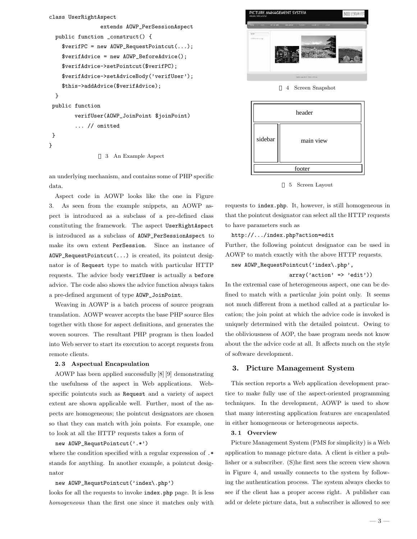```
class UserRightAspect
                extends AOWP_PerSessionAspect {
 public function _construct() {
    $verifPC = new AOWP_RequestPointcut(...);
    $verifAdvice = new AOWP_BeforeAdvice();
    $verifAdvice->setPointcut($verifPC);
    $verifAdvice->setAdviceBody('verifUser');
    $this->addAdvice($verifAdvice);
 }
public function
        verifUser(AOWP_JoinPoint $joinPoint) {
        ... // omitted
}
}
                  3 An Example Aspect
```
an underlying mechanism, and contains some of PHP specific data.

Aspect code in AOWP looks like the one in Figure 3. As seen from the example snippets, an AOWP aspect is introduced as a subclass of a pre-defined class constituting the framework. The aspect UserRightAspect is introduced as a subclass of AOWP\_PerSessionAspect to make its own extent PerSession. Since an instance of AOWP\_RequestPointcut(...) is created, its pointcut designator is of Request type to match with particular HTTP requests. The advice body verifUser is actually a before advice. The code also shows the advice function always takes a pre-defined argument of type AOWP\_JoinPoint.

Weaving in AOWP is a batch process of source program translation. AOWP weaver accepts the base PHP source files together with those for aspect definitions, and generates the woven sources. The resultant PHP program is then loaded into Web server to start its execution to accept requests from remote clients.

## **2. 3 Aspectual Encapsulation**

AOWP has been applied successfully [8] [9] demonstrating the usefulness of the aspect in Web applications. Webspecific pointcuts such as Request and a variety of aspect extent are shown applicable well. Further, most of the aspects are homogeneous; the pointcut designators are chosen so that they can match with join points. For example, one to look at all the HTTP requests takes a form of

## new AOWP\_RequstPointcut('.\*')

where the condition specified with a regular expression of .\* stands for anything. In another example, a pointcut designator

### new AOWP\_RequstPointcut('index\.php')

looks for all the requests to invoke index.php page. It is less *homogeneous* than the first one since it matches only with



5 Screen Layout

requests to index.php. It, however, is still homogeneous in that the pointcut designator can select all the HTTP requests to have parameters such as

## http://.../index.php?action=edit

Further, the following pointcut designator can be used in AOWP to match exactly with the above HTTP requests.

# new AOWP\_RequestPointcut('index\.php',

#### $array('action' => 'edit'))$

In the extremal case of heterogeneous aspect, one can be defined to match with a particular join point only. It seems not much different from a method called at a particular location; the join point at which the advice code is invoked is uniquely determined with the detailed pointcut. Owing to the obliviousness of AOP, the base program needs not know about the the advice code at all. It affects much on the style of software development.

## **3. Picture Management System**

This section reports a Web application development practice to make fully use of the aspect-oriented programming techniques. In the development, AOWP is used to show that many interesting application features are encapsulated in either homogeneous or heterogeneous aspects.

### **3. 1 Overview**

Picture Management System (PMS for simplicity) is a Web application to manage picture data. A client is either a publisher or a subscriber. (S)he first sees the screen view shown in Figure 4, and usually connects to the system by following the authentication process. The system always checks to see if the client has a proper access right. A publisher can add or delete picture data, but a subscriber is allowed to see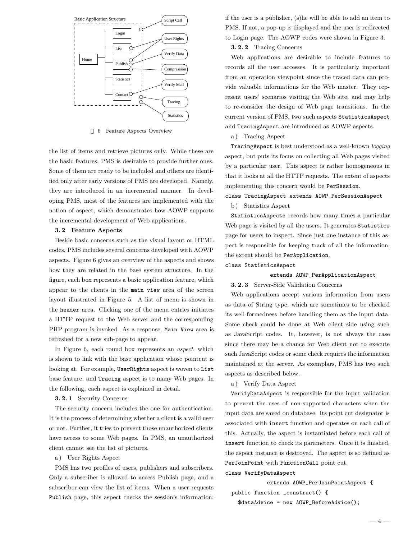

6 Feature Aspects Overview

the list of items and retrieve pictures only. While these are the basic features, PMS is desirable to provide further ones. Some of them are ready to be included and others are identified only after early versions of PMS are developed. Namely, they are introduced in an incremental manner. In developing PMS, most of the features are implemented with the notion of aspect, which demonstrates how AOWP supports the incremental development of Web applications.

## **3. 2 Feature Aspects**

Beside basic concerns such as the visual layout or HTML codes, PMS includes several concerns developed with AOWP aspects. Figure 6 gives an overview of the aspects and shows how they are related in the base system structure. In the figure, each box represents a basic application feature, which appear to the clients in the main view area of the screen layout illustrated in Figure 5. A list of menu is shown in the header area. Clicking one of the menu entries initiates a HTTP request to the Web server and the corresponding PHP program is invoked. As a response, Main View area is refreshed for a new sub-page to appear.

In Figure 6, each round box represents an *aspect*, which is shown to link with the base application whose pointcut is looking at. For example, UserRights aspect is woven to List base feature, and Tracing aspect is to many Web pages. In the following, each aspect is explained in detail.

## **3. 2. 1** Security Concerns

The security concern includes the one for authentication. It is the process of determining whether a client is a valid user or not. Further, it tries to prevent those unauthorized clients have access to some Web pages. In PMS, an unauthorized client cannot see the list of pictures.

a ) User Rights Aspect

PMS has two profiles of users, publishers and subscribers. Only a subscriber is allowed to access Publish page, and a subscriber can view the list of items. When a user requests Publish page, this aspect checks the session's information:

if the user is a publisher, (s)he will be able to add an item to PMS. If not, a pop-up is displayed and the user is redirected to Login page. The AOWP codes were shown in Figure 3.

**3. 2. 2** Tracing Concerns

Web applications are desirable to include features to records all the user accesses. It is particularly important from an operation viewpoint since the traced data can provide valuable informations for the Web master. They represent users' scenarios visiting the Web site, and may help to re-consider the design of Web page transitions. In the current version of PMS, two such aspects StatisticsAspect and TracingAspect are introduced as AOWP aspects.

a ) Tracing Aspect

TracingAspect is best understood as a well-known *logging* aspect, but puts its focus on collecting all Web pages visited by a particular user. This aspect is rather homogeneous in that it looks at all the HTTP requests. The extent of aspects implementing this concern would be PerSession.

class TracingAspect extends AOWP\_PerSessionAspect

b) Statistics Aspect

StatisticsAspects records how many times a particular Web page is visited by all the users. It generates Statistics page for users to inspect. Since just one instance of this aspect is responsible for keeping track of all the information, the extent should be PerApplication.

class StatisticsAspect

#### extends AOWP\_PerApplicationAspect

#### **3. 2. 3** Server-Side Validation Concerns

Web applications accept various information from users as data of String type, which are sometimes to be checked its well-formedness before handling them as the input data. Some check could be done at Web client side using such as JavaScript codes. It, however, is not always the case since there may be a chance for Web client not to execute such JavaScript codes or some check requires the information maintained at the server. As exemplars, PMS has two such aspects as described below.

a ) Verify Data Aspect

VerifyDataAspect is responsible for the input validation to prevent the uses of non-supported characters when the input data are saved on database. Its point cut designator is associated with insert function and operates on each call of this. Actually, the aspect is instantiated before each call of insert function to check its parameters. Once it is finished, the aspect instance is destroyed. The aspect is so defined as PerJoinPoint with FunctionCall point cut.

class VerifyDataAspect

extends AOWP\_PerJoinPointAspect { public function \_construct() { \$dataAdvice = new AOWP\_BeforeAdvice();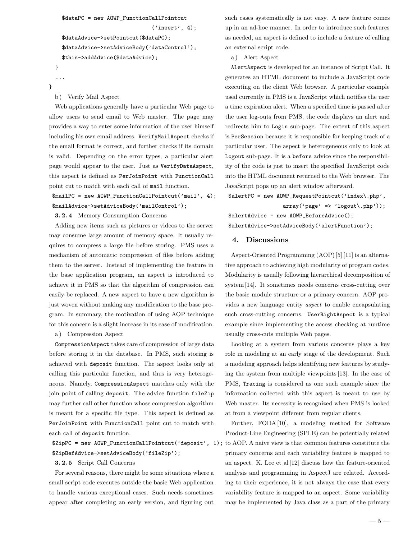```
$dataPC = new AOWP_FunctionCallPointcut
                              ('insert', 4);$dataAdvice->setPointcut($dataPC);
 $dataAdvice->setAdviceBody('dataControl');
  $this->addAdvice($dataAdvice);
}
...
```
- }
	- b) Verify Mail Aspect

Web applications generally have a particular Web page to allow users to send email to Web master. The page may provides a way to enter some information of the user himself including his own email address. VerifyMailAspect checks if the email format is correct, and further checks if its domain is valid. Depending on the error types, a particular alert page would appear to the user. Just as VerifyDataAspect, this aspect is defined as PerJoinPoint with FunctionCall point cut to match with each call of mail function.

```
$mailPC = new AOWP_FunctionCallPointcut('mail', 4);
$mailAdvice->setAdviceBody('mailControl');
```
**3. 2. 4** Memory Consumption Concerns

Adding new items such as pictures or videos to the server may consume large amount of memory space. It usually requires to compress a large file before storing. PMS uses a mechanism of automatic compression of files before adding them to the server. Instead of implementing the feature in the base application program, an aspect is introduced to achieve it in PMS so that the algorithm of compression can easily be replaced. A new aspect to have a new algorithm is just woven without making any modification to the base program. In summary, the motivation of using AOP technique for this concern is a slight increase in its ease of modification.

a ) Compression Aspect

CompressionAspect takes care of compression of large data before storing it in the database. In PMS, such storing is achieved with deposit function. The aspect looks only at calling this particular function, and thus is very heterogeneous. Namely, CompressionAspect matches only with the join point of calling deposit. The advice function fileZip may further call other function whose compression algorithm is meant for a specific file type. This aspect is defined as PerJoinPoint with FunctionCall point cut to match with each call of deposit function.

\$ZipBefAdvice->setAdviceBody('fileZip');

#### **3. 2. 5** Script Call Concerns

For several reasons, there might be some situations where a small script code executes outside the basic Web application to handle various exceptional cases. Such needs sometimes appear after completing an early version, and figuring out

such cases systematically is not easy. A new feature comes up in an ad-hoc manner. In order to introduce such features as needed, an aspect is defined to include a feature of calling an external script code.

a ) Alert Aspect

AlertAspect is developed for an instance of Script Call. It generates an HTML document to include a JavaScript code executing on the client Web browser. A particular example used currently in PMS is a JavaScript which notifies the user a time expiration alert. When a specified time is passed after the user log-outs from PMS, the code displays an alert and redirects him to Login sub-page. The extent of this aspect is PerSession because it is responsible for keeping track of a particular user. The aspect is heterogeneous only to look at Logout sub-page. It is a before advice since the responsibility of the code is just to insert the specified JavaScript code into the HTML document returned to the Web browser. The JavaScript pops up an alert window afterward.

\$alertPC = new AOWP\_RequestPointcut('index\.php', array('page' => 'logout\.php')); \$alertAdvice = new AOWP\_BeforeAdvice();

\$alertAdvice->setAdviceBody('alertFunction');

## **4. Discussions**

Aspect-Oriented Programming (AOP) [5] [11] is an alternative approach to achieving high modularity of program codes. Modularity is usually following hierarchical decomposition of system [14]. It sometimes needs concerns cross-cutting over the basic module structure or a primary concern. AOP provides a new language entity *aspect* to enable encapsulating such cross-cutting concerns. UserRightAspect is a typical example since implementing the access checking at runtime usually cross-cuts multiple Web pages.

Looking at a system from various concerns plays a key role in modeling at an early stage of the development. Such a modeling approach helps identifying new features by studying the system from multiple viewpoints [13]. In the case of PMS, Tracing is considered as one such example since the information collected with this aspect is meant to use by Web master. Its necessity is recognized when PMS is looked at from a viewpoint different from regular clients.

\$ZipPC = new AOWP\_FunctionCallPointcut('deposit', 1); to AOP. A naive view is that common features constitute the Further, FODA [10], a modeling method for Software Product-Line Engineering (SPLE) can be potentially related primary concerns and each variability feature is mapped to an aspect. K. Lee et al [12] discuss how the feature-oriented analysis and programming in AspectJ are related. According to their experience, it is not always the case that every variability feature is mapped to an aspect. Some variability may be implemented by Java class as a part of the primary